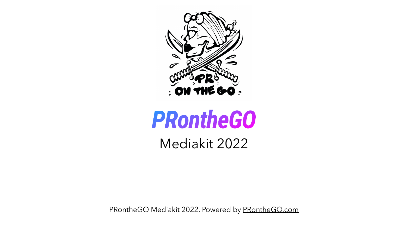PRontheGO Mediakit 2022. Powered by [PRontheGO.com](http://PRontheGO.com)



# *PRontheGO* Mediakit 2022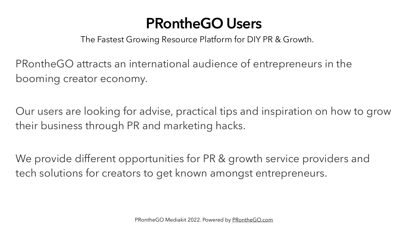# **PRontheGO Users**

- Our users are looking for advise, practical tips and inspiration on how to grow
- We provide different opportunities for PR & growth service providers and



PRontheGO attracts an international audience of entrepreneurs in the booming creator economy.

their business through PR and marketing hacks.

tech solutions for creators to get known amongst entrepreneurs.

PRontheGO Mediakit 2022. Powered by [PRontheGO.com](http://PRontheGO.com)

The Fastest Growing Resource Platform for DIY PR & Growth.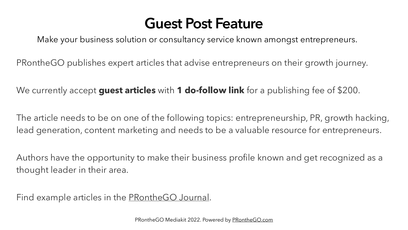# **Guest Post Feature**

PRontheGO publishes expert articles that advise entrepreneurs on their growth journey.

We currently accept **guest articles** with **1 do-follow link** for a publishing fee of \$200.

The article needs to be on one of the following topics: entrepreneurship, PR, growth hacking, lead generation, content marketing and needs to be a valuable resource for entrepreneurs.

Authors have the opportunity to make their business profile known and get recognized as a thought leader in their area.

Find example articles in the **PRontheGO** Journal.

PRontheGO Mediakit 2022. Powered by [PRontheGO.com](http://PRontheGO.com)



Make your business solution or consultancy service known amongst entrepreneurs.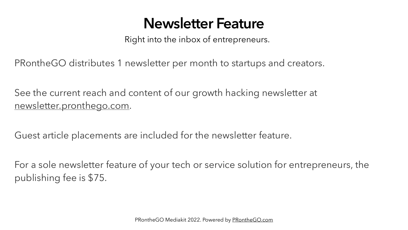# **Newsletter Feature**

See the current reach and content of our growth hacking newsletter at [newsletter.pronthego.com.](http://newsletter.pronthego.com)

Guest article placements are included for the newsletter feature.

For a sole newsletter feature of your tech or service solution for entrepreneurs, the publishing fee is \$75.

PRontheGO Mediakit 2022. Powered by [PRontheGO.com](http://PRontheGO.com)

Right into the inbox of entrepreneurs.

PRontheGO distributes 1 newsletter per month to startups and creators.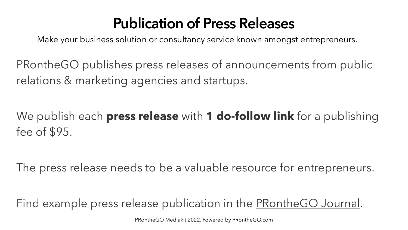# **Publication of Press Releases**

PRontheGO publishes press releases of announcements from public relations & marketing agencies and startups.

### We publish each **press release** with **1 do-follow link** for a publishing

fee of \$95.

Find example press release publication in the [PRontheGO Journal](https://pronthego.com/pages/blog/journal.html).

#### The press release needs to be a valuable resource for entrepreneurs.

PRontheGO Mediakit 2022. Powered by [PRontheGO.com](http://PRontheGO.com)

Make your business solution or consultancy service known amongst entrepreneurs.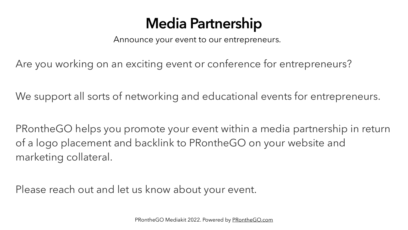# **Media Partnership**

Are you working on an exciting event or conference for entrepreneurs?

- 
- We support all sorts of networking and educational events for entrepreneurs.
- PRontheGO helps you promote your event within a media partnership in return

of a logo placement and backlink to PRontheGO on your website and marketing collateral.

Please reach out and let us know about your event.

PRontheGO Mediakit 2022. Powered by [PRontheGO.com](http://PRontheGO.com)

Announce your event to our entrepreneurs.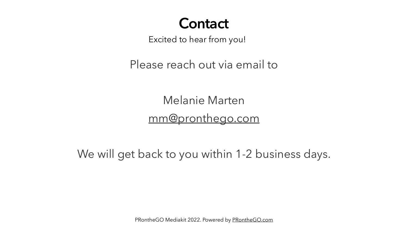Please reach out via email to

Melanie Marten [mm@pronthego.com](mailto:mm@pronthego.com)

### **Contact** Excited to hear from you!

We will get back to you within 1-2 business days.

PRontheGO Mediakit 2022. Powered by [PRontheGO.com](http://PRontheGO.com)